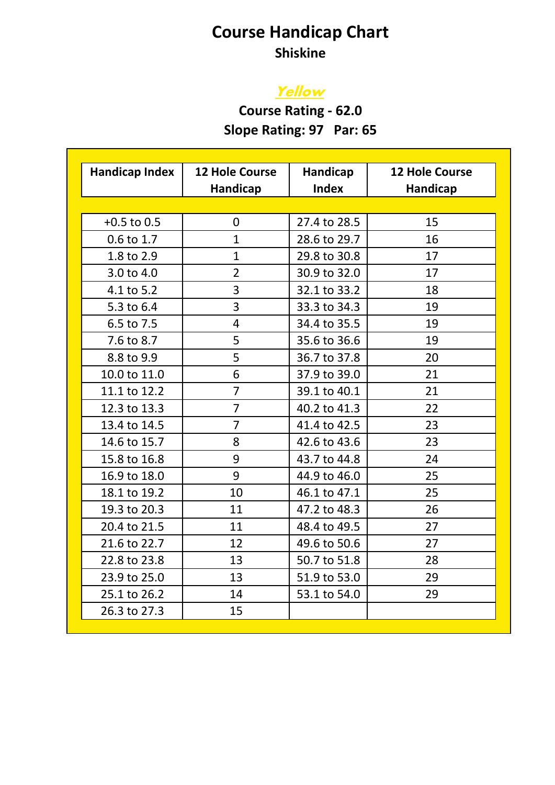## **Course Handicap Chart Shiskine**

# **Yellow**

**Course Rating - 62.0 Slope Rating: 97 Par: 65** 

| <b>Handicap Index</b> | <b>12 Hole Course</b> | Handicap     | <b>12 Hole Course</b> |
|-----------------------|-----------------------|--------------|-----------------------|
|                       | Handicap              | <b>Index</b> | <b>Handicap</b>       |
|                       |                       |              |                       |
| $+0.5$ to 0.5         | 0                     | 27.4 to 28.5 | 15                    |
| 0.6 to 1.7            | $\mathbf{1}$          | 28.6 to 29.7 | 16                    |
| 1.8 to 2.9            | $\mathbf{1}$          | 29.8 to 30.8 | 17                    |
| 3.0 to 4.0            | $\overline{2}$        | 30.9 to 32.0 | 17                    |
| 4.1 to 5.2            | 3                     | 32.1 to 33.2 | 18                    |
| 5.3 to 6.4            | 3                     | 33.3 to 34.3 | 19                    |
| 6.5 to 7.5            | 4                     | 34.4 to 35.5 | 19                    |
| 7.6 to 8.7            | 5                     | 35.6 to 36.6 | 19                    |
| 8.8 to 9.9            | 5                     | 36.7 to 37.8 | 20                    |
| 10.0 to 11.0          | 6                     | 37.9 to 39.0 | 21                    |
| 11.1 to 12.2          | $\overline{7}$        | 39.1 to 40.1 | 21                    |
| 12.3 to 13.3          | $\overline{7}$        | 40.2 to 41.3 | 22                    |
| 13.4 to 14.5          | $\overline{7}$        | 41.4 to 42.5 | 23                    |
| 14.6 to 15.7          | 8                     | 42.6 to 43.6 | 23                    |
| 15.8 to 16.8          | 9                     | 43.7 to 44.8 | 24                    |
| 16.9 to 18.0          | 9                     | 44.9 to 46.0 | 25                    |
| 18.1 to 19.2          | 10                    | 46.1 to 47.1 | 25                    |
| 19.3 to 20.3          | 11                    | 47.2 to 48.3 | 26                    |
| 20.4 to 21.5          | 11                    | 48.4 to 49.5 | 27                    |
| 21.6 to 22.7          | 12                    | 49.6 to 50.6 | 27                    |
| 22.8 to 23.8          | 13                    | 50.7 to 51.8 | 28                    |
| 23.9 to 25.0          | 13                    | 51.9 to 53.0 | 29                    |
| 25.1 to 26.2          | 14                    | 53.1 to 54.0 | 29                    |
| 26.3 to 27.3          | 15                    |              |                       |